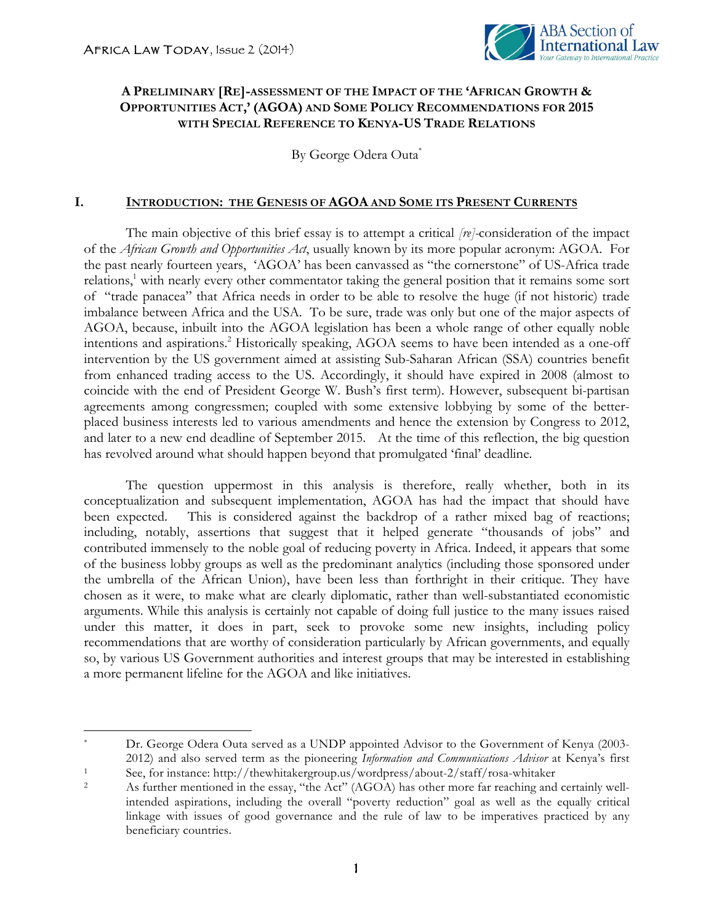<u> 1989 - Johann Stein, fransk politik (d. 1989)</u>



## **A PRELIMINARY [RE]-ASSESSMENT OF THE IMPACT OF THE 'AFRICAN GROWTH & OPPORTUNITIES ACT,' (AGOA) AND SOME POLICY RECOMMENDATIONS FOR 2015 WITH SPECIAL REFERENCE TO KENYA-US TRADE RELATIONS**

By George Odera Outa<sup>\*</sup>

## **I. INTRODUCTION: THE GENESIS OF AGOA AND SOME ITS PRESENT CURRENTS**

The main objective of this brief essay is to attempt a critical *[re]-*consideration of the impact of the *African Growth and Opportunities Act*, usually known by its more popular acronym: AGOA. For the past nearly fourteen years, 'AGOA' has been canvassed as "the cornerstone" of US-Africa trade relations,<sup>1</sup> with nearly every other commentator taking the general position that it remains some sort of "trade panacea" that Africa needs in order to be able to resolve the huge (if not historic) trade imbalance between Africa and the USA. To be sure, trade was only but one of the major aspects of AGOA, because, inbuilt into the AGOA legislation has been a whole range of other equally noble intentions and aspirations. <sup>2</sup> Historically speaking, AGOA seems to have been intended as a one-off intervention by the US government aimed at assisting Sub-Saharan African (SSA) countries benefit from enhanced trading access to the US. Accordingly, it should have expired in 2008 (almost to coincide with the end of President George W. Bush's first term). However, subsequent bi-partisan agreements among congressmen; coupled with some extensive lobbying by some of the betterplaced business interests led to various amendments and hence the extension by Congress to 2012, and later to a new end deadline of September 2015. At the time of this reflection, the big question has revolved around what should happen beyond that promulgated 'final' deadline.

The question uppermost in this analysis is therefore, really whether, both in its conceptualization and subsequent implementation, AGOA has had the impact that should have been expected. This is considered against the backdrop of a rather mixed bag of reactions; including, notably, assertions that suggest that it helped generate "thousands of jobs" and contributed immensely to the noble goal of reducing poverty in Africa. Indeed, it appears that some of the business lobby groups as well as the predominant analytics (including those sponsored under the umbrella of the African Union), have been less than forthright in their critique. They have chosen as it were, to make what are clearly diplomatic, rather than well-substantiated economistic arguments. While this analysis is certainly not capable of doing full justice to the many issues raised under this matter, it does in part, seek to provoke some new insights, including policy recommendations that are worthy of consideration particularly by African governments, and equally so, by various US Government authorities and interest groups that may be interested in establishing a more permanent lifeline for the AGOA and like initiatives.

Dr. George Odera Outa served as a UNDP appointed Advisor to the Government of Kenya (2003-2012) and also served term as the pioneering *Information and Communications Advisor* at Kenya's first See, for instance: http://thewhitakergroup.us/wordpress/about-2/staff/rosa-whitaker

<sup>2</sup> As further mentioned in the essay, "the Act" (AGOA) has other more far reaching and certainly wellintended aspirations, including the overall "poverty reduction" goal as well as the equally critical linkage with issues of good governance and the rule of law to be imperatives practiced by any beneficiary countries.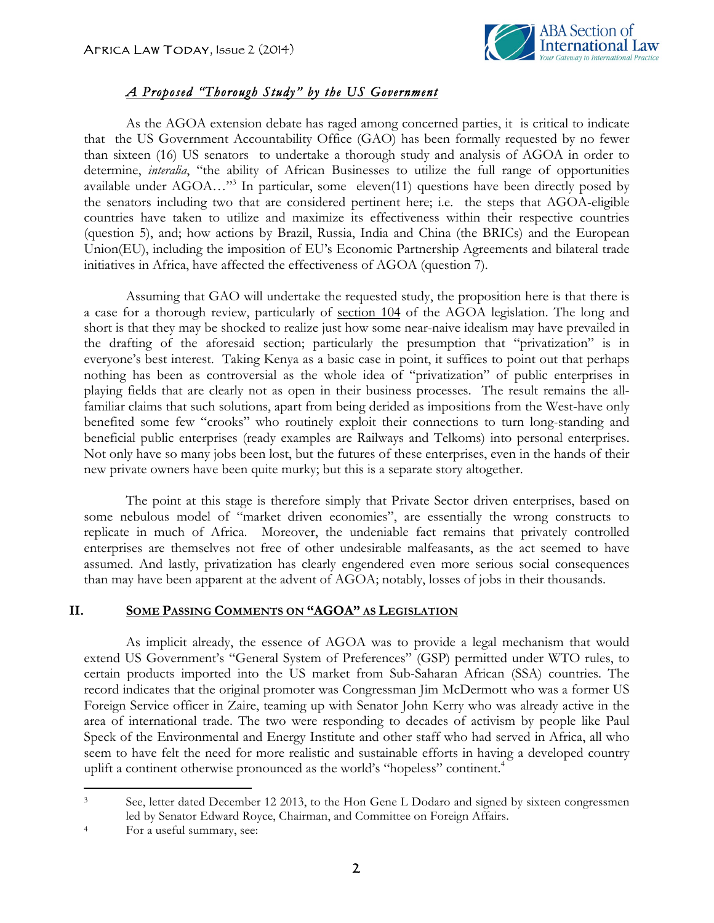

# *A Proposed "Thorough Study" by the US Government*

As the AGOA extension debate has raged among concerned parties, it is critical to indicate that the US Government Accountability Office (GAO) has been formally requested by no fewer than sixteen (16) US senators to undertake a thorough study and analysis of AGOA in order to determine, *interalia*, "the ability of African Businesses to utilize the full range of opportunities available under  $AGOA...$ <sup>33</sup> In particular, some eleven(11) questions have been directly posed by the senators including two that are considered pertinent here; i.e. the steps that AGOA-eligible countries have taken to utilize and maximize its effectiveness within their respective countries (question 5), and; how actions by Brazil, Russia, India and China (the BRICs) and the European Union(EU), including the imposition of EU's Economic Partnership Agreements and bilateral trade initiatives in Africa, have affected the effectiveness of AGOA (question 7).

Assuming that GAO will undertake the requested study, the proposition here is that there is a case for a thorough review, particularly of section 104 of the AGOA legislation. The long and short is that they may be shocked to realize just how some near-naive idealism may have prevailed in the drafting of the aforesaid section; particularly the presumption that "privatization" is in everyone's best interest. Taking Kenya as a basic case in point, it suffices to point out that perhaps nothing has been as controversial as the whole idea of "privatization" of public enterprises in playing fields that are clearly not as open in their business processes. The result remains the allfamiliar claims that such solutions, apart from being derided as impositions from the West-have only benefited some few "crooks" who routinely exploit their connections to turn long-standing and beneficial public enterprises (ready examples are Railways and Telkoms) into personal enterprises. Not only have so many jobs been lost, but the futures of these enterprises, even in the hands of their new private owners have been quite murky; but this is a separate story altogether.

The point at this stage is therefore simply that Private Sector driven enterprises, based on some nebulous model of "market driven economies", are essentially the wrong constructs to replicate in much of Africa. Moreover, the undeniable fact remains that privately controlled enterprises are themselves not free of other undesirable malfeasants, as the act seemed to have assumed. And lastly, privatization has clearly engendered even more serious social consequences than may have been apparent at the advent of AGOA; notably, losses of jobs in their thousands.

## **II. SOME PASSING COMMENTS ON "AGOA" AS LEGISLATION**

As implicit already, the essence of AGOA was to provide a legal mechanism that would extend US Government's "General System of Preferences" (GSP) permitted under WTO rules, to certain products imported into the US market from Sub-Saharan African (SSA) countries. The record indicates that the original promoter was Congressman Jim McDermott who was a former US Foreign Service officer in Zaire, teaming up with Senator John Kerry who was already active in the area of international trade. The two were responding to decades of activism by people like Paul Speck of the Environmental and Energy Institute and other staff who had served in Africa, all who seem to have felt the need for more realistic and sustainable efforts in having a developed country uplift a continent otherwise pronounced as the world's "hopeless" continent. 4

<u> 1989 - Johann Stein, fransk politik (d. 1989)</u>

<sup>&</sup>lt;sup>3</sup> See, letter dated December 12 2013, to the Hon Gene L Dodaro and signed by sixteen congressmen led by Senator Edward Royce, Chairman, and Committee on Foreign Affairs.

<sup>4</sup> For a useful summary, see: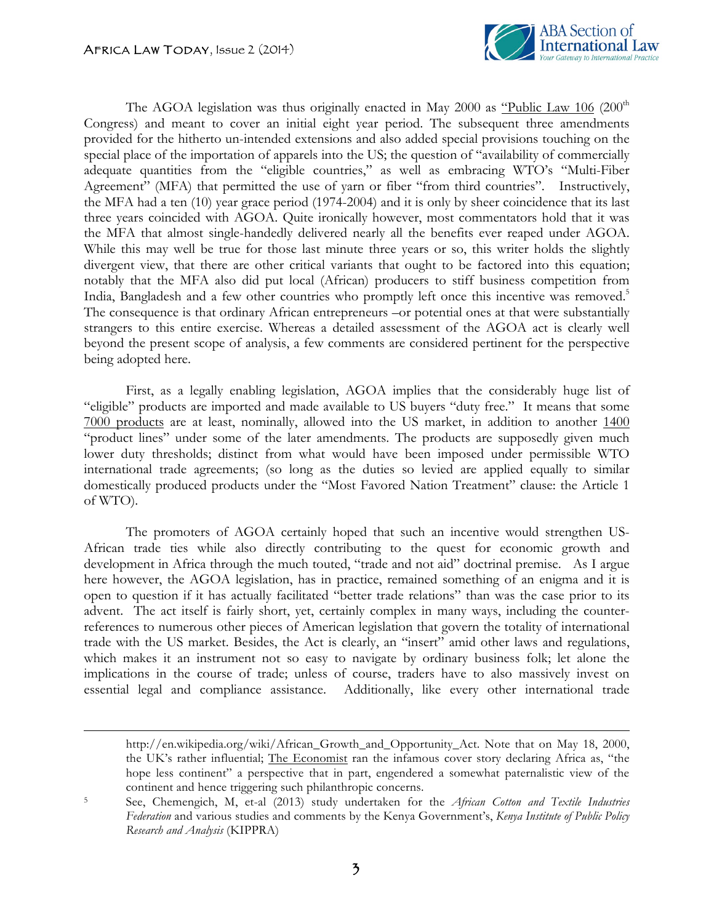

The AGOA legislation was thus originally enacted in May 2000 as  $\frac{d}{d}$  Public Law 106 (200<sup>th</sup>) Congress) and meant to cover an initial eight year period. The subsequent three amendments provided for the hitherto un-intended extensions and also added special provisions touching on the special place of the importation of apparels into the US; the question of "availability of commercially adequate quantities from the "eligible countries," as well as embracing WTO's "Multi-Fiber Agreement" (MFA) that permitted the use of yarn or fiber "from third countries". Instructively, the MFA had a ten (10) year grace period (1974-2004) and it is only by sheer coincidence that its last three years coincided with AGOA. Quite ironically however, most commentators hold that it was the MFA that almost single-handedly delivered nearly all the benefits ever reaped under AGOA. While this may well be true for those last minute three years or so, this writer holds the slightly divergent view, that there are other critical variants that ought to be factored into this equation; notably that the MFA also did put local (African) producers to stiff business competition from India, Bangladesh and a few other countries who promptly left once this incentive was removed.<sup>5</sup> The consequence is that ordinary African entrepreneurs –or potential ones at that were substantially strangers to this entire exercise. Whereas a detailed assessment of the AGOA act is clearly well beyond the present scope of analysis, a few comments are considered pertinent for the perspective being adopted here.

First, as a legally enabling legislation, AGOA implies that the considerably huge list of "eligible" products are imported and made available to US buyers "duty free." It means that some 7000 products are at least, nominally, allowed into the US market, in addition to another 1400 "product lines" under some of the later amendments. The products are supposedly given much lower duty thresholds; distinct from what would have been imposed under permissible WTO international trade agreements; (so long as the duties so levied are applied equally to similar domestically produced products under the "Most Favored Nation Treatment" clause: the Article 1 of WTO).

The promoters of AGOA certainly hoped that such an incentive would strengthen US-African trade ties while also directly contributing to the quest for economic growth and development in Africa through the much touted, "trade and not aid" doctrinal premise. As I argue here however, the AGOA legislation, has in practice, remained something of an enigma and it is open to question if it has actually facilitated "better trade relations" than was the case prior to its advent. The act itself is fairly short, yet, certainly complex in many ways, including the counterreferences to numerous other pieces of American legislation that govern the totality of international trade with the US market. Besides, the Act is clearly, an "insert" amid other laws and regulations, which makes it an instrument not so easy to navigate by ordinary business folk; let alone the implications in the course of trade; unless of course, traders have to also massively invest on essential legal and compliance assistance. Additionally, like every other international trade

<u> 1989 - Andrea Santa Andrea Andrea Andrea Andrea Andrea Andrea Andrea Andrea Andrea Andrea Andrea Andrea Andr</u>

http://en.wikipedia.org/wiki/African\_Growth\_and\_Opportunity\_Act. Note that on May 18, 2000, the UK's rather influential; The Economist ran the infamous cover story declaring Africa as, "the hope less continent" a perspective that in part, engendered a somewhat paternalistic view of the continent and hence triggering such philanthropic concerns.

<sup>5</sup> See, Chemengich, M, et-al (2013) study undertaken for the *African Cotton and Textile Industries Federation* and various studies and comments by the Kenya Government's, *Kenya Institute of Public Policy Research and Analysis* (KIPPRA)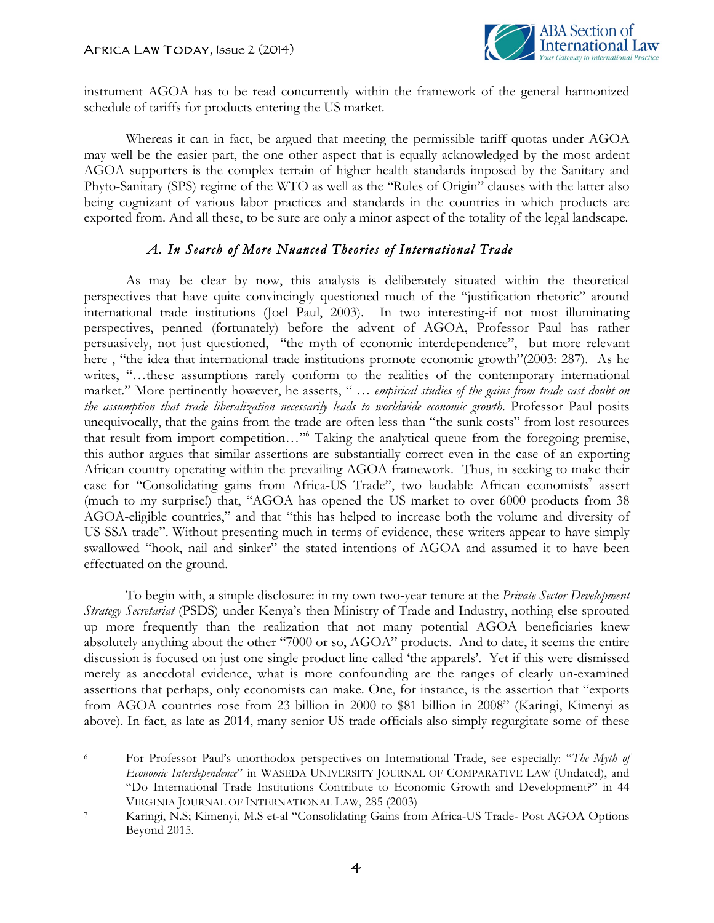

instrument AGOA has to be read concurrently within the framework of the general harmonized schedule of tariffs for products entering the US market.

Whereas it can in fact, be argued that meeting the permissible tariff quotas under AGOA may well be the easier part, the one other aspect that is equally acknowledged by the most ardent AGOA supporters is the complex terrain of higher health standards imposed by the Sanitary and Phyto-Sanitary (SPS) regime of the WTO as well as the "Rules of Origin" clauses with the latter also being cognizant of various labor practices and standards in the countries in which products are exported from. And all these, to be sure are only a minor aspect of the totality of the legal landscape.

## *A. In Search of More Nuanced Theories of International Trade*

As may be clear by now, this analysis is deliberately situated within the theoretical perspectives that have quite convincingly questioned much of the "justification rhetoric" around international trade institutions (Joel Paul, 2003). In two interesting-if not most illuminating perspectives, penned (fortunately) before the advent of AGOA, Professor Paul has rather persuasively, not just questioned, "the myth of economic interdependence", but more relevant here , "the idea that international trade institutions promote economic growth"(2003: 287). As he writes, "...these assumptions rarely conform to the realities of the contemporary international market." More pertinently however, he asserts, " … *empirical studies of the gains from trade cast doubt on the assumption that trade liberalization necessarily leads to worldwide economic growth*. Professor Paul posits unequivocally, that the gains from the trade are often less than "the sunk costs" from lost resources that result from import competition…"6 Taking the analytical queue from the foregoing premise, this author argues that similar assertions are substantially correct even in the case of an exporting African country operating within the prevailing AGOA framework. Thus, in seeking to make their case for "Consolidating gains from Africa-US Trade", two laudable African economists<sup>7</sup> assert (much to my surprise!) that, "AGOA has opened the US market to over 6000 products from 38 AGOA-eligible countries," and that "this has helped to increase both the volume and diversity of US-SSA trade". Without presenting much in terms of evidence, these writers appear to have simply swallowed "hook, nail and sinker" the stated intentions of AGOA and assumed it to have been effectuated on the ground.

To begin with, a simple disclosure: in my own two-year tenure at the *Private Sector Development Strategy Secretariat* (PSDS) under Kenya's then Ministry of Trade and Industry, nothing else sprouted up more frequently than the realization that not many potential AGOA beneficiaries knew absolutely anything about the other "7000 or so, AGOA" products. And to date, it seems the entire discussion is focused on just one single product line called 'the apparels'. Yet if this were dismissed merely as anecdotal evidence, what is more confounding are the ranges of clearly un-examined assertions that perhaps, only economists can make. One, for instance, is the assertion that "exports from AGOA countries rose from 23 billion in 2000 to \$81 billion in 2008" (Karingi, Kimenyi as above). In fact, as late as 2014, many senior US trade officials also simply regurgitate some of these

<sup>&</sup>lt;u> 1989 - Johann Stein, fransk politik (d. 1989)</u> <sup>6</sup> For Professor Paul's unorthodox perspectives on International Trade, see especially: "*The Myth of Economic Interdependence*" in WASEDA UNIVERSITY JOURNAL OF COMPARATIVE LAW (Undated), and "Do International Trade Institutions Contribute to Economic Growth and Development?" in 44 VIRGINIA JOURNAL OF INTERNATIONAL LAW, 285 (2003) 7 Karingi, N.S; Kimenyi, M.S et-al "Consolidating Gains from Africa-US Trade- Post AGOA Options

Beyond 2015.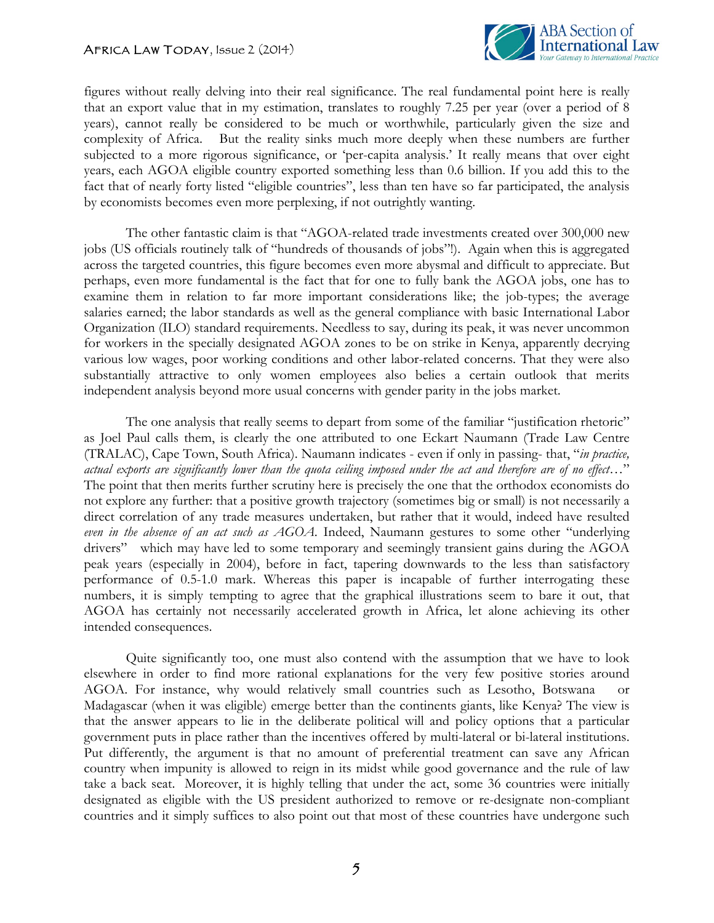

figures without really delving into their real significance. The real fundamental point here is really that an export value that in my estimation, translates to roughly 7.25 per year (over a period of 8 years), cannot really be considered to be much or worthwhile, particularly given the size and complexity of Africa. But the reality sinks much more deeply when these numbers are further subjected to a more rigorous significance, or 'per-capita analysis.' It really means that over eight years, each AGOA eligible country exported something less than 0.6 billion. If you add this to the fact that of nearly forty listed "eligible countries", less than ten have so far participated, the analysis by economists becomes even more perplexing, if not outrightly wanting.

The other fantastic claim is that "AGOA-related trade investments created over 300,000 new jobs (US officials routinely talk of "hundreds of thousands of jobs"!). Again when this is aggregated across the targeted countries, this figure becomes even more abysmal and difficult to appreciate. But perhaps, even more fundamental is the fact that for one to fully bank the AGOA jobs, one has to examine them in relation to far more important considerations like; the job-types; the average salaries earned; the labor standards as well as the general compliance with basic International Labor Organization (ILO) standard requirements. Needless to say, during its peak, it was never uncommon for workers in the specially designated AGOA zones to be on strike in Kenya, apparently decrying various low wages, poor working conditions and other labor-related concerns. That they were also substantially attractive to only women employees also belies a certain outlook that merits independent analysis beyond more usual concerns with gender parity in the jobs market.

The one analysis that really seems to depart from some of the familiar "justification rhetoric" as Joel Paul calls them, is clearly the one attributed to one Eckart Naumann (Trade Law Centre (TRALAC), Cape Town, South Africa). Naumann indicates - even if only in passing- that, "*in practice, actual exports are significantly lower than the quota ceiling imposed under the act and therefore are of no effect…*" The point that then merits further scrutiny here is precisely the one that the orthodox economists do not explore any further: that a positive growth trajectory (sometimes big or small) is not necessarily a direct correlation of any trade measures undertaken, but rather that it would, indeed have resulted *even in the absence of an act such as AGOA*. Indeed, Naumann gestures to some other "underlying drivers" which may have led to some temporary and seemingly transient gains during the AGOA peak years (especially in 2004), before in fact, tapering downwards to the less than satisfactory performance of 0.5-1.0 mark. Whereas this paper is incapable of further interrogating these numbers, it is simply tempting to agree that the graphical illustrations seem to bare it out, that AGOA has certainly not necessarily accelerated growth in Africa, let alone achieving its other intended consequences.

Quite significantly too, one must also contend with the assumption that we have to look elsewhere in order to find more rational explanations for the very few positive stories around AGOA. For instance, why would relatively small countries such as Lesotho, Botswana or Madagascar (when it was eligible) emerge better than the continents giants, like Kenya? The view is that the answer appears to lie in the deliberate political will and policy options that a particular government puts in place rather than the incentives offered by multi-lateral or bi-lateral institutions. Put differently, the argument is that no amount of preferential treatment can save any African country when impunity is allowed to reign in its midst while good governance and the rule of law take a back seat. Moreover, it is highly telling that under the act, some 36 countries were initially designated as eligible with the US president authorized to remove or re-designate non-compliant countries and it simply suffices to also point out that most of these countries have undergone such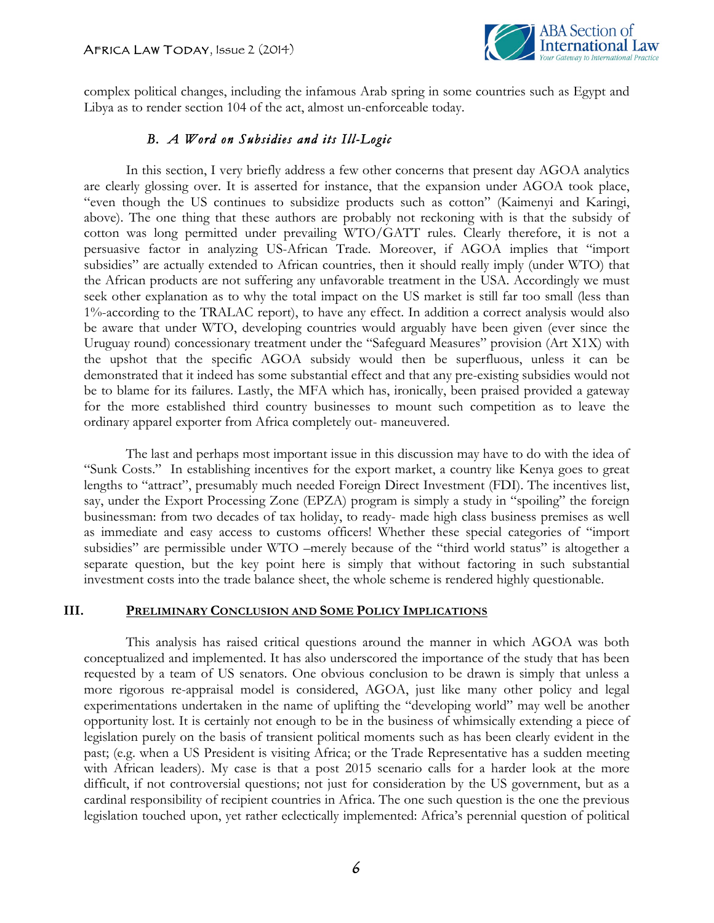

complex political changes, including the infamous Arab spring in some countries such as Egypt and Libya as to render section 104 of the act, almost un-enforceable today.

## *B. A Word on Subsidies and its Ill-Logic*

In this section, I very briefly address a few other concerns that present day AGOA analytics are clearly glossing over. It is asserted for instance, that the expansion under AGOA took place, "even though the US continues to subsidize products such as cotton" (Kaimenyi and Karingi, above). The one thing that these authors are probably not reckoning with is that the subsidy of cotton was long permitted under prevailing WTO/GATT rules. Clearly therefore, it is not a persuasive factor in analyzing US-African Trade. Moreover, if AGOA implies that "import subsidies" are actually extended to African countries, then it should really imply (under WTO) that the African products are not suffering any unfavorable treatment in the USA. Accordingly we must seek other explanation as to why the total impact on the US market is still far too small (less than 1%-according to the TRALAC report), to have any effect. In addition a correct analysis would also be aware that under WTO, developing countries would arguably have been given (ever since the Uruguay round) concessionary treatment under the "Safeguard Measures" provision (Art X1X) with the upshot that the specific AGOA subsidy would then be superfluous, unless it can be demonstrated that it indeed has some substantial effect and that any pre-existing subsidies would not be to blame for its failures. Lastly, the MFA which has, ironically, been praised provided a gateway for the more established third country businesses to mount such competition as to leave the ordinary apparel exporter from Africa completely out- maneuvered.

The last and perhaps most important issue in this discussion may have to do with the idea of "Sunk Costs." In establishing incentives for the export market, a country like Kenya goes to great lengths to "attract", presumably much needed Foreign Direct Investment (FDI). The incentives list, say, under the Export Processing Zone (EPZA) program is simply a study in "spoiling" the foreign businessman: from two decades of tax holiday, to ready- made high class business premises as well as immediate and easy access to customs officers! Whether these special categories of "import subsidies" are permissible under WTO –merely because of the "third world status" is altogether a separate question, but the key point here is simply that without factoring in such substantial investment costs into the trade balance sheet, the whole scheme is rendered highly questionable.

#### **III. PRELIMINARY CONCLUSION AND SOME POLICY IMPLICATIONS**

This analysis has raised critical questions around the manner in which AGOA was both conceptualized and implemented. It has also underscored the importance of the study that has been requested by a team of US senators. One obvious conclusion to be drawn is simply that unless a more rigorous re-appraisal model is considered, AGOA, just like many other policy and legal experimentations undertaken in the name of uplifting the "developing world" may well be another opportunity lost. It is certainly not enough to be in the business of whimsically extending a piece of legislation purely on the basis of transient political moments such as has been clearly evident in the past; (e.g. when a US President is visiting Africa; or the Trade Representative has a sudden meeting with African leaders). My case is that a post 2015 scenario calls for a harder look at the more difficult, if not controversial questions; not just for consideration by the US government, but as a cardinal responsibility of recipient countries in Africa. The one such question is the one the previous legislation touched upon, yet rather eclectically implemented: Africa's perennial question of political